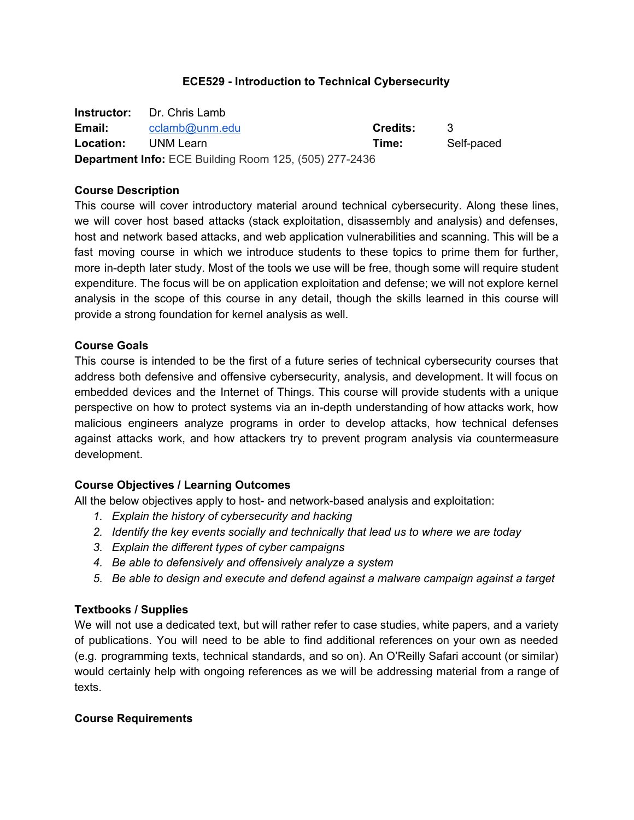## **ECE529 - Introduction to Technical Cybersecurity**

|           | <b>Instructor:</b> Dr. Chris Lamb                             |                 |            |
|-----------|---------------------------------------------------------------|-----------------|------------|
| Email:    | cclamb@unm.edu                                                | <b>Credits:</b> | -3         |
| Location: | UNM Learn                                                     | Time:           | Self-paced |
|           | <b>Department Info: ECE Building Room 125, (505) 277-2436</b> |                 |            |

## **Course Description**

This course will cover introductory material around technical cybersecurity. Along these lines, we will cover host based attacks (stack exploitation, disassembly and analysis) and defenses, host and network based attacks, and web application vulnerabilities and scanning. This will be a fast moving course in which we introduce students to these topics to prime them for further, more in-depth later study. Most of the tools we use will be free, though some will require student expenditure. The focus will be on application exploitation and defense; we will not explore kernel analysis in the scope of this course in any detail, though the skills learned in this course will provide a strong foundation for kernel analysis as well.

## **Course Goals**

This course is intended to be the first of a future series of technical cybersecurity courses that address both defensive and offensive cybersecurity, analysis, and development. It will focus on embedded devices and the Internet of Things. This course will provide students with a unique perspective on how to protect systems via an in-depth understanding of how attacks work, how malicious engineers analyze programs in order to develop attacks, how technical defenses against attacks work, and how attackers try to prevent program analysis via countermeasure development.

# **Course Objectives / Learning Outcomes**

All the below objectives apply to host- and network-based analysis and exploitation:

- *1. Explain the history of cybersecurity and hacking*
- *2. Identify the key events socially and technically that lead us to where we are today*
- *3. Explain the different types of cyber campaigns*
- *4. Be able to defensively and offensively analyze a system*
- *5. Be able to design and execute and defend against a malware campaign against a target*

# **Textbooks / Supplies**

We will not use a dedicated text, but will rather refer to case studies, white papers, and a variety of publications. You will need to be able to find additional references on your own as needed (e.g. programming texts, technical standards, and so on). An O'Reilly Safari account (or similar) would certainly help with ongoing references as we will be addressing material from a range of texts.

## **Course Requirements**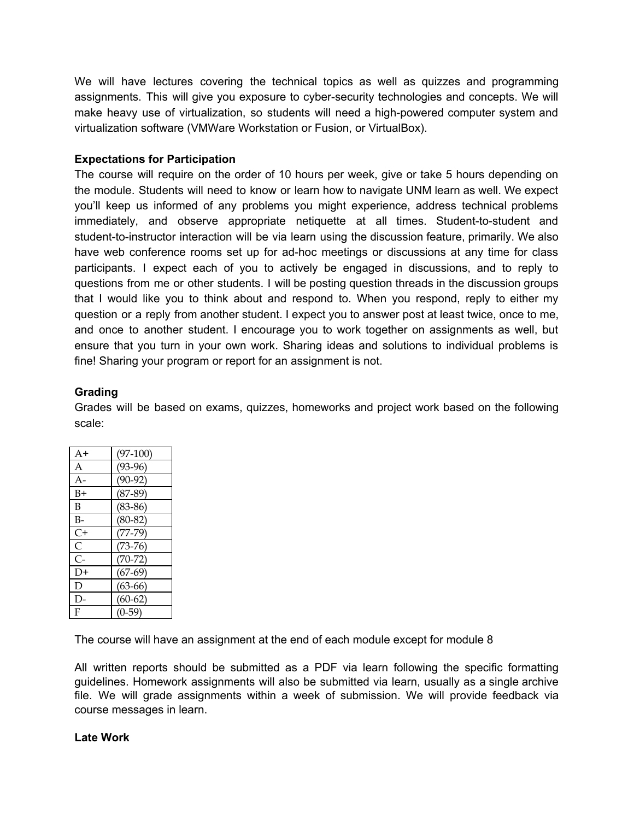We will have lectures covering the technical topics as well as quizzes and programming assignments. This will give you exposure to cyber-security technologies and concepts. We will make heavy use of virtualization, so students will need a high-powered computer system and virtualization software (VMWare Workstation or Fusion, or VirtualBox).

## **Expectations for Participation**

The course will require on the order of 10 hours per week, give or take 5 hours depending on the module. Students will need to know or learn how to navigate UNM learn as well. We expect you'll keep us informed of any problems you might experience, address technical problems immediately, and observe appropriate netiquette at all times. Student-to-student and student-to-instructor interaction will be via learn using the discussion feature, primarily. We also have web conference rooms set up for ad-hoc meetings or discussions at any time for class participants. I expect each of you to actively be engaged in discussions, and to reply to questions from me or other students. I will be posting question threads in the discussion groups that I would like you to think about and respond to. When you respond, reply to either my question or a reply from another student. I expect you to answer post at least twice, once to me, and once to another student. I encourage you to work together on assignments as well, but ensure that you turn in your own work. Sharing ideas and solutions to individual problems is fine! Sharing your program or report for an assignment is not.

# **Grading**

Grades will be based on exams, quizzes, homeworks and project work based on the following scale:

| A+   | $(97-100)$ |
|------|------------|
| A    | $(93-96)$  |
| $A-$ | $(90-92)$  |
| B+   | $(87-89)$  |
| B    | $(83-86)$  |
| B-   | $(80-82)$  |
| C+   | $(77-79)$  |
| C    | $(73-76)$  |
| C-   | $(70-72)$  |
| D+   | $(67-69)$  |
| D    | $(63-66)$  |
| D-   | $(60-62)$  |
| F    | $(0-59)$   |

The course will have an assignment at the end of each module except for module 8

All written reports should be submitted as a PDF via learn following the specific formatting guidelines. Homework assignments will also be submitted via learn, usually as a single archive file. We will grade assignments within a week of submission. We will provide feedback via course messages in learn.

# **Late Work**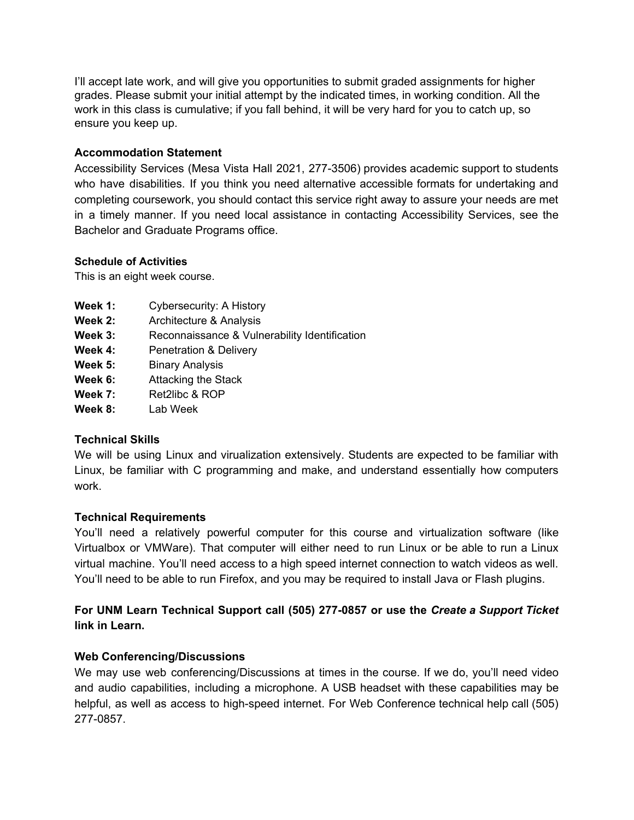I'll accept late work, and will give you opportunities to submit graded assignments for higher grades. Please submit your initial attempt by the indicated times, in working condition. All the work in this class is cumulative; if you fall behind, it will be very hard for you to catch up, so ensure you keep up.

## **Accommodation Statement**

Accessibility Services (Mesa Vista Hall 2021, 277-3506) provides academic support to students who have disabilities. If you think you need alternative accessible formats for undertaking and completing coursework, you should contact this service right away to assure your needs are met in a timely manner. If you need local assistance in contacting Accessibility Services, see the Bachelor and Graduate Programs office.

## **Schedule of Activities**

This is an eight week course.

- **Week 1:** Cybersecurity: A History
- **Week 2:** Architecture & Analysis
- Week 3: Reconnaissance & Vulnerability Identification
- **Week 4:** Penetration & Delivery
- **Week 5:** Binary Analysis
- **Week 6:** Attacking the Stack
- **Week 7:** Ret2libc & ROP
- **Week 8:** Lab Week

# **Technical Skills**

We will be using Linux and virualization extensively. Students are expected to be familiar with Linux, be familiar with C programming and make, and understand essentially how computers work.

## **Technical Requirements**

You'll need a relatively powerful computer for this course and virtualization software (like Virtualbox or VMWare). That computer will either need to run Linux or be able to run a Linux virtual machine. You'll need access to a high speed internet connection to watch videos as well. You'll need to be able to run Firefox, and you may be required to install Java or Flash plugins.

# **For UNM Learn Technical Support call (505) 277-0857 or use the** *Create a Support Ticket* **link in Learn.**

# **Web Conferencing/Discussions**

We may use web conferencing/Discussions at times in the course. If we do, you'll need video and audio capabilities, including a microphone. A USB headset with these capabilities may be helpful, as well as access to high-speed internet. For Web Conference technical help call (505) 277-0857.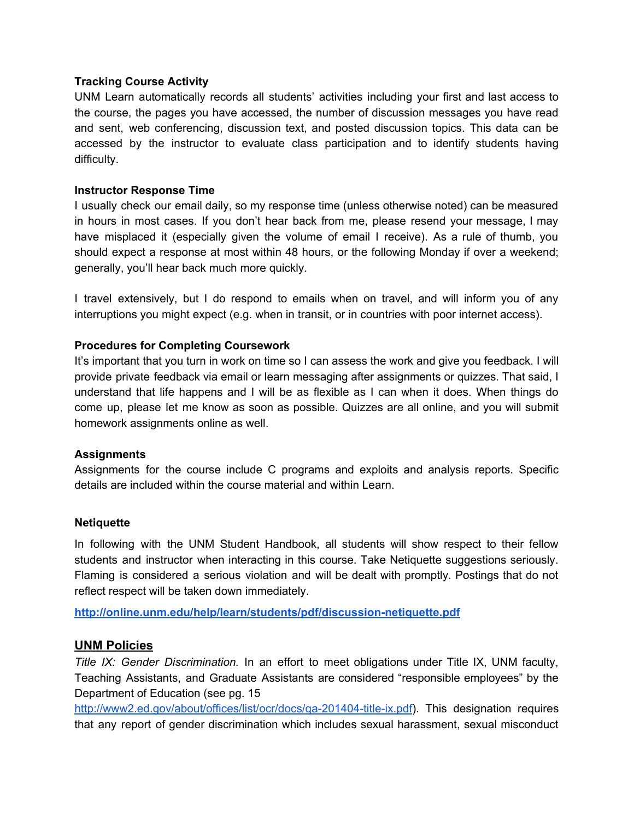#### **Tracking Course Activity**

UNM Learn automatically records all students' activities including your first and last access to the course, the pages you have accessed, the number of discussion messages you have read and sent, web conferencing, discussion text, and posted discussion topics. This data can be accessed by the instructor to evaluate class participation and to identify students having difficulty.

#### **Instructor Response Time**

I usually check our email daily, so my response time (unless otherwise noted) can be measured in hours in most cases. If you don't hear back from me, please resend your message, I may have misplaced it (especially given the volume of email I receive). As a rule of thumb, you should expect a response at most within 48 hours, or the following Monday if over a weekend; generally, you'll hear back much more quickly.

I travel extensively, but I do respond to emails when on travel, and will inform you of any interruptions you might expect (e.g. when in transit, or in countries with poor internet access).

## **Procedures for Completing Coursework**

It's important that you turn in work on time so I can assess the work and give you feedback. I will provide private feedback via email or learn messaging after assignments or quizzes. That said, I understand that life happens and I will be as flexible as I can when it does. When things do come up, please let me know as soon as possible. Quizzes are all online, and you will submit homework assignments online as well.

#### **Assignments**

Assignments for the course include C programs and exploits and analysis reports. Specific details are included within the course material and within Learn.

#### **Netiquette**

In following with the UNM Student Handbook, all students will show respect to their fellow students and instructor when interacting in this course. Take Netiquette suggestions seriously. Flaming is considered a serious violation and will be dealt with promptly. Postings that do not reflect respect will be taken down immediately.

**<http://online.unm.edu/help/learn/students/pdf/discussion-netiquette.pdf>**

## **UNM Policies**

*Title IX: Gender Discrimination.* In an effort to meet obligations under Title IX, UNM faculty, Teaching Assistants, and Graduate Assistants are considered "responsible employees" by the Department of Education (see pg. 15

<http://www2.ed.gov/about/offices/list/ocr/docs/qa-201404-title-ix.pdf>). This designation requires that any report of gender discrimination which includes sexual harassment, sexual misconduct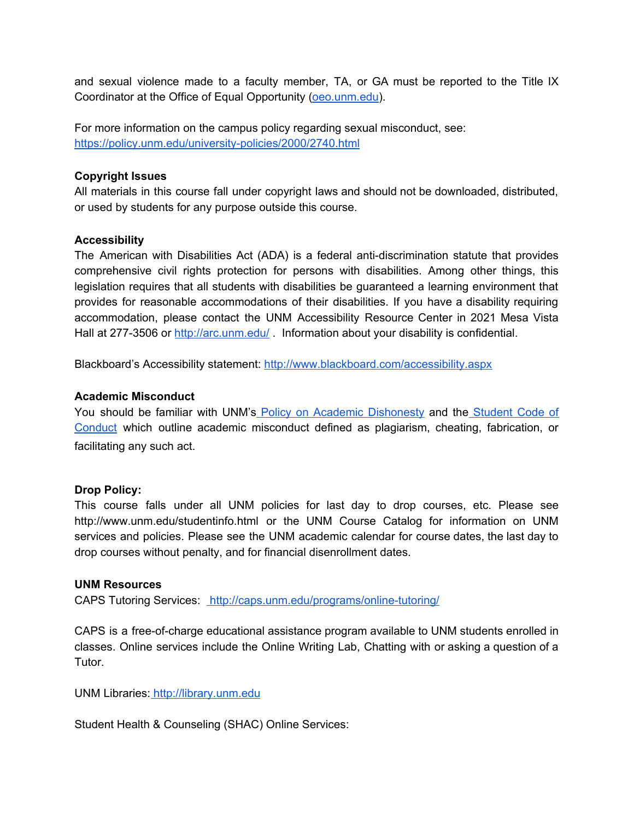and sexual violence made to a faculty member, TA, or GA must be reported to the Title IX Coordinator at the Office of Equal Opportunity ([oeo.unm.edu\)](http://oeo.unm.edu/).

For more information on the campus policy regarding sexual misconduct, see: <https://policy.unm.edu/university-policies/2000/2740.html>

#### **Copyright Issues**

All materials in this course fall under copyright laws and should not be downloaded, distributed, or used by students for any purpose outside this course.

#### **Accessibility**

The American with Disabilities Act (ADA) is a federal anti-discrimination statute that provides comprehensive civil rights protection for persons with disabilities. Among other things, this legislation requires that all students with disabilities be guaranteed a learning environment that provides for reasonable accommodations of their disabilities. If you have a disability requiring accommodation, please contact the UNM Accessibility Resource Center in 2021 Mesa Vista Hall at 277-3506 or <http://arc.unm.edu/> . Information about your disability is confidential.

Blackboard's Accessibility statement[:](http://www.blackboard.com/accessibility.aspx) <http://www.blackboard.com/accessibility.aspx>

#### **Academic Misconduct**

You should be familiar with UNM's Policy on Academic [Dishonesty](https://pathfinder.unm.edu/campus-policies/academic-dishonesty.html) and the [Student](https://pathfinder.unm.edu/code-of-conduct.html) Code of [Conduct](https://pathfinder.unm.edu/code-of-conduct.html) which outline academic misconduct defined as plagiarism, cheating, fabrication, or facilitating any such act.

## **Drop Policy:**

This course falls under all UNM policies for last day to drop courses, etc. Please see http://www.unm.edu/studentinfo.html or the UNM Course Catalog for information on UNM services and policies. Please see the UNM academic calendar for course dates, the last day to drop courses without penalty, and for financial disenrollment dates.

#### **UNM Resources**

CAPS Tutoring Services: <http://caps.unm.edu/programs/online-tutoring/>

CAPS is a free-of-charge educational assistance program available to UNM students enrolled in classes. Online services include the Online Writing Lab, Chatting with or asking a question of a Tutor.

UNM Libraries: [http://library.unm.edu](http://library.unm.edu/)

Student Health & Counseling (SHAC) Online Services: